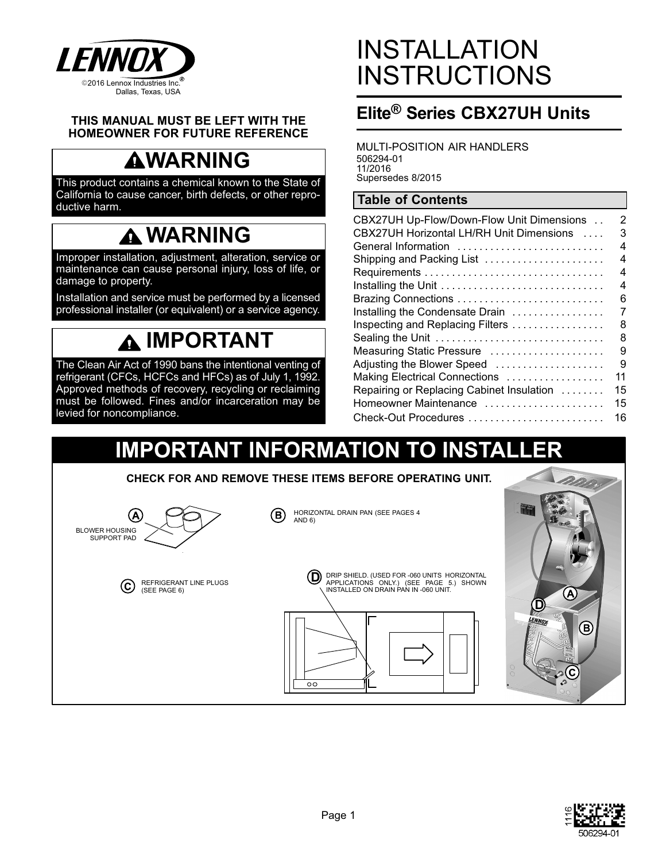

#### **THIS MANUAL MUST BE LEFT WITH THE HOMEOWNER FOR FUTURE REFERENCE**

# **WARNING**

This product contains a chemical known to the State of California to cause cancer, birth defects, or other reproductive harm.

## **WARNING**

Improper installation, adjustment, alteration, service or maintenance can cause personal injury, loss of life, or damage to property.

Installation and service must be performed by a licensed professional installer (or equivalent) or a service agency.

# **IMPORTANT**

The Clean Air Act of 1990 bans the intentional venting of refrigerant (CFCs, HCFCs and HFCs) as of July 1, 1992. Approved methods of recovery, recycling or reclaiming must be followed. Fines and/or incarceration may be levied for noncompliance.

# INSTALLATION **INSTRUCTIONS**

## **Elite® Series CBX27UH Units**

MULTI-POSITION AIR HANDLERS 506294-01 11/2016 Supersedes 8/2015

### **Table of Contents**

| CBX27UH Up-Flow/Down-Flow Unit Dimensions | 2  |
|-------------------------------------------|----|
| CBX27UH Horizontal LH/RH Unit Dimensions  | 3  |
| General Information                       | 4  |
|                                           | 4  |
| Shipping and Packing List                 |    |
|                                           | 4  |
| Installing the Unit                       | 4  |
|                                           | 6  |
| Installing the Condensate Drain           | 7  |
| Inspecting and Replacing Filters          | 8  |
| Sealing the Unit                          | 8  |
| Measuring Static Pressure                 | 9  |
| Adjusting the Blower Speed                | 9  |
| Making Electrical Connections             | 11 |
| Repairing or Replacing Cabinet Insulation | 15 |
| Homeowner Maintenance                     | 15 |
| Check-Out Procedures                      | 16 |

## **IMPORTANT INFORMATION TO INSTALL**

**CHECK FOR AND REMOVE THESE ITEMS BEFORE OPERATING UNIT.**







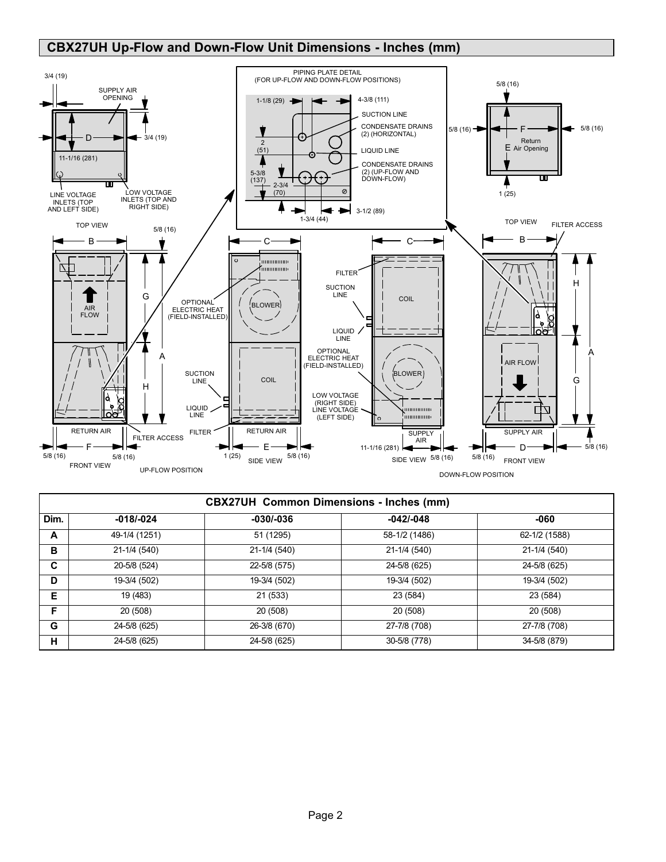## <span id="page-1-0"></span> **CBX27UH Up-Flow and Down-Flow Unit Dimensions - Inches (mm)**



|      | <b>CBX27UH Common Dimensions - Inches (mm)</b> |              |               |               |  |  |  |  |  |
|------|------------------------------------------------|--------------|---------------|---------------|--|--|--|--|--|
| Dim. | $-018/-024$                                    | $-030/-036$  | $-042/-048$   | -060          |  |  |  |  |  |
| A    | 49-1/4 (1251)                                  | 51 (1295)    | 58-1/2 (1486) | 62-1/2 (1588) |  |  |  |  |  |
| в    | 21-1/4 (540)                                   | 21-1/4 (540) | 21-1/4 (540)  | 21-1/4 (540)  |  |  |  |  |  |
| C    | 20-5/8 (524)                                   | 22-5/8 (575) | 24-5/8 (625)  | 24-5/8 (625)  |  |  |  |  |  |
| D    | 19-3/4 (502)                                   | 19-3/4 (502) | 19-3/4 (502)  | 19-3/4 (502)  |  |  |  |  |  |
| Е    | 19 (483)                                       | 21 (533)     | 23 (584)      | 23 (584)      |  |  |  |  |  |
| F.   | 20 (508)                                       | 20 (508)     | 20 (508)      | 20 (508)      |  |  |  |  |  |
| G    | 24-5/8 (625)                                   | 26-3/8 (670) | 27-7/8 (708)  | 27-7/8 (708)  |  |  |  |  |  |
| н    | 24-5/8 (625)                                   | 24-5/8 (625) | 30-5/8 (778)  | 34-5/8 (879)  |  |  |  |  |  |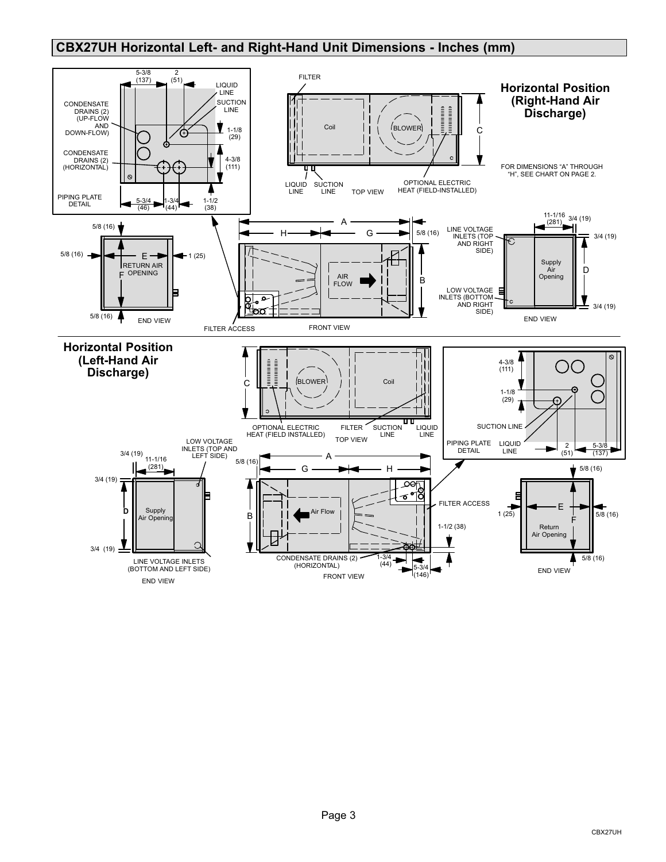## <span id="page-2-0"></span>**CBX27UH Horizontal Left- and Right-Hand Unit Dimensions - Inches (mm)**

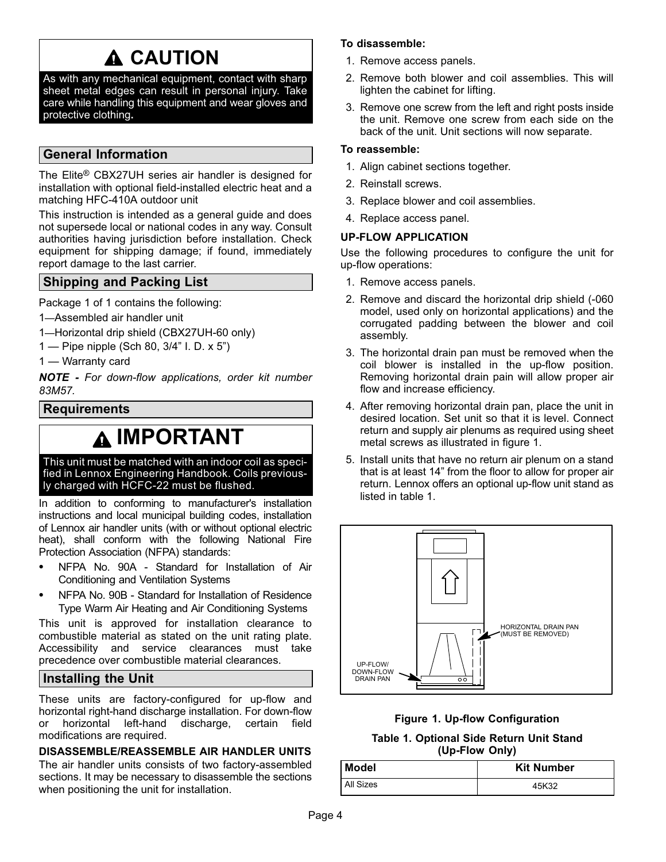# **A CAUTION**

<span id="page-3-0"></span>As with any mechanical equipment, contact with sharp sheet metal edges can result in personal injury. Take care while handling this equipment and wear gloves and protective clothing**.**

### **General Information**

The Elite® CBX27UH series air handler is designed for installation with optional field-installed electric heat and a matching HFC-410A outdoor unit

This instruction is intended as a general guide and does not supersede local or national codes in any way. Consult authorities having jurisdiction before installation. Check equipment for shipping damage; if found, immediately report damage to the last carrier.

### **Shipping and Packing List**

Package 1 of 1 contains the following:

- 1—Assembled air handler unit
- 1—Horizontal drip shield (CBX27UH-60 only)
- 1 Pipe nipple (Sch 80, 3/4" I. D. x 5")
- 1 Warranty card

*NOTE - For down-flow applications, order kit number 83M57.*

### **Requirements**

## **IMPORTANT**

This unit must be matched with an indoor coil as specified in Lennox Engineering Handbook. Coils previously charged with HCFC-22 must be flushed.

In addition to conforming to manufacturer's installation instructions and local municipal building codes, installation of Lennox air handler units (with or without optional electric heat), shall conform with the following National Fire Protection Association (NFPA) standards:

- $\bullet$  NFPA No. 90A - Standard for Installation of Air Conditioning and Ventilation Systems
- $\bullet$  NFPA No. 90B - Standard for Installation of Residence Type Warm Air Heating and Air Conditioning Systems

This unit is approved for installation clearance to combustible material as stated on the unit rating plate. Accessibility and service clearances must take precedence over combustible material clearances.

### **Installing the Unit**

These units are factory-configured for up-flow and horizontal right-hand discharge installation. For down-flow or horizontal left-hand discharge, certain field modifications are required.

#### **DISASSEMBLE/REASSEMBLE AIR HANDLER UNITS**

The air handler units consists of two factory‐assembled sections. It may be necessary to disassemble the sections when positioning the unit for installation.

#### **To disassemble:**

- 1. Remove access panels.
- 2. Remove both blower and coil assemblies. This will lighten the cabinet for lifting.
- 3. Remove one screw from the left and right posts inside the unit. Remove one screw from each side on the back of the unit. Unit sections will now separate.

#### **To reassemble:**

- 1. Align cabinet sections together.
- 2. Reinstall screws.
- 3. Replace blower and coil assemblies.
- 4. Replace access panel.

#### **UP-FLOW APPLICATION**

Use the following procedures to configure the unit for up-flow operations:

- 1. Remove access panels.
- 2. Remove and discard the horizontal drip shield (-060 model, used only on horizontal applications) and the corrugated padding between the blower and coil assembly.
- 3. The horizontal drain pan must be removed when the coil blower is installed in the up-flow position. Removing horizontal drain pain will allow proper air flow and increase efficiency.
- 4. After removing horizontal drain pan, place the unit in desired location. Set unit so that it is level. Connect return and supply air plenums as required using sheet metal screws as illustrated in figure 1.
- 5. Install units that have no return air plenum on a stand that is at least 14" from the floor to allow for proper air return. Lennox offers an optional up-flow unit stand as listed in table 1.





**Table 1. Optional Side Return Unit Stand (Up-Flow Only)**

| Model     | <b>Kit Number</b> |
|-----------|-------------------|
| All Sizes | 45K32             |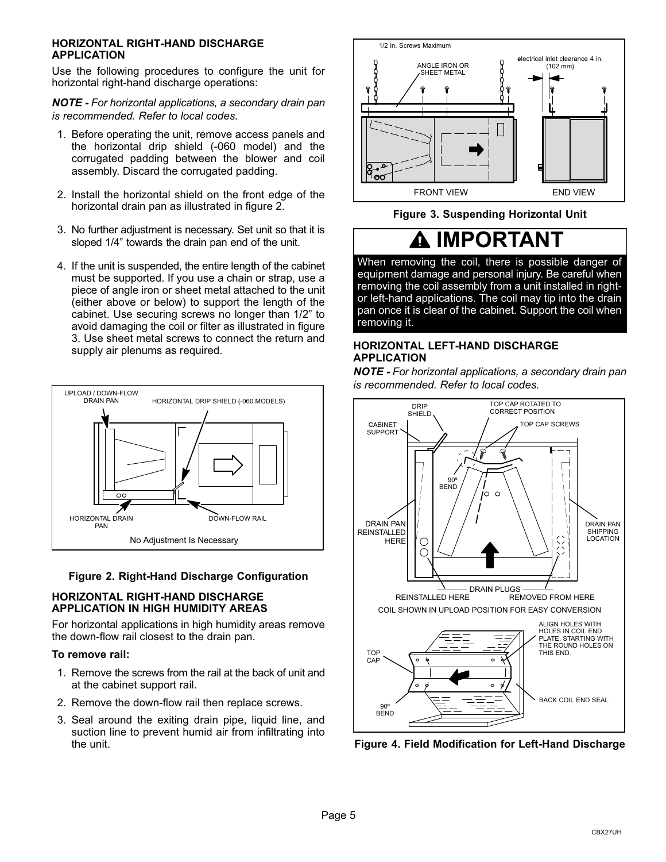#### <span id="page-4-0"></span>**HORIZONTAL RIGHT-HAND DISCHARGE APPLICATION**

Use the following procedures to configure the unit for horizontal right-hand discharge operations:

*NOTE - For horizontal applications, a secondary drain pan is recommended. Refer to local codes.*

- 1. Before operating the unit, remove access panels and the horizontal drip shield (-060 model) and the corrugated padding between the blower and coil assembly. Discard the corrugated padding.
- 2. Install the horizontal shield on the front edge of the horizontal drain pan as illustrated in figure 2.
- 3. No further adjustment is necessary. Set unit so that it is sloped 1/4" towards the drain pan end of the unit.
- 4. If the unit is suspended, the entire length of the cabinet must be supported. If you use a chain or strap, use a piece of angle iron or sheet metal attached to the unit (either above or below) to support the length of the cabinet. Use securing screws no longer than 1/2" to avoid damaging the coil or filter as illustrated in figure 3. Use sheet metal screws to connect the return and supply air plenums as required.



#### **Figure 2. Right-Hand Discharge Configuration**

#### **HORIZONTAL RIGHT-HAND DISCHARGE APPLICATION IN HIGH HUMIDITY AREAS**

For horizontal applications in high humidity areas remove the down-flow rail closest to the drain pan.

#### **To remove rail:**

- 1. Remove the screws from the rail at the back of unit and at the cabinet support rail.
- 2. Remove the down-flow rail then replace screws.
- 3. Seal around the exiting drain pipe, liquid line, and suction line to prevent humid air from infiltrating into the unit.



**Figure 3. Suspending Horizontal Unit**

## **IMPORTANT**

When removing the coil, there is possible danger of equipment damage and personal injury. Be careful when removing the coil assembly from a unit installed in rightor left-hand applications. The coil may tip into the drain pan once it is clear of the cabinet. Support the coil when removing it.

#### **HORIZONTAL LEFT-HAND DISCHARGE APPLICATION**

*NOTE - For horizontal applications, a secondary drain pan is recommended. Refer to local codes.*



**Figure 4. Field Modification for Left-Hand Discharge**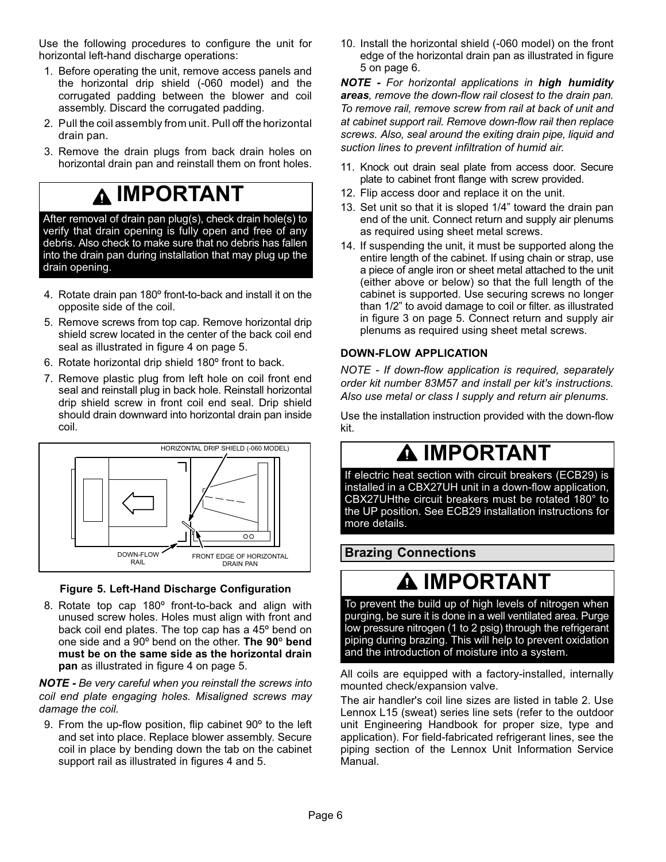<span id="page-5-0"></span>Use the following procedures to configure the unit for horizontal left-hand discharge operations:

- 1. Before operating the unit, remove access panels and the horizontal drip shield (-060 model) and the corrugated padding between the blower and coil assembly. Discard the corrugated padding.
- 2. Pull the coil assembly from unit. Pull off the horizontal drain pan.
- 3. Remove the drain plugs from back drain holes on horizontal drain pan and reinstall them on front holes.

## **IMPORTANT**

After removal of drain pan plug(s), check drain hole(s) to verify that drain opening is fully open and free of any debris. Also check to make sure that no debris has fallen into the drain pan during installation that may plug up the drain opening.

- 4. Rotate drain pan 180° front-to-back and install it on the opposite side of the coil.
- 5. Remove screws from top cap. Remove horizontal drip shield screw located in the center of the back coil end seal as illustrated in figure [4](#page-4-0) on page [5](#page-4-0).
- 6. Rotate horizontal drip shield 180º front to back.
- 7. Remove plastic plug from left hole on coil front end seal and reinstall plug in back hole. Reinstall horizontal drip shield screw in front coil end seal. Drip shield should drain downward into horizontal drain pan inside coil.



### **Figure 5. Left-Hand Discharge Configuration**

8. Rotate top cap 180° front-to-back and align with unused screw holes. Holes must align with front and back coil end plates. The top cap has a 45º bend on one side and a 90º bend on the other. **The 90**º **bend must be on the same side as the horizontal drain pan** as illustrated in figure [4](#page-4-0) on page [5.](#page-4-0)

*NOTE - Be very careful when you reinstall the screws into coil end plate engaging holes. Misaligned screws may damage the coil.*

9. From the up-flow position, flip cabinet 90º to the left and set into place. Replace blower assembly. Secure coil in place by bending down the tab on the cabinet support rail as illustrated in figures [4](#page-4-0) and 5.

10. Install the horizontal shield (-060 model) on the front edge of the horizontal drain pan as illustrated in figure 5 on page 6.

*NOTE - For horizontal applications in high humidity areas, remove the down-flow rail closest to the drain pan. To remove rail, remove screw from rail at back of unit and at cabinet support rail. Remove down-flow rail then replace screws. Also, seal around the exiting drain pipe, liquid and suction lines to prevent infiltration of humid air.*

- 11. Knock out drain seal plate from access door. Secure plate to cabinet front flange with screw provided.
- 12. Flip access door and replace it on the unit.
- 13. Set unit so that it is sloped 1/4" toward the drain pan end of the unit. Connect return and supply air plenums as required using sheet metal screws.
- 14. If suspending the unit, it must be supported along the entire length of the cabinet. If using chain or strap, use a piece of angle iron or sheet metal attached to the unit (either above or below) so that the full length of the cabinet is supported. Use securing screws no longer than 1/2" to avoid damage to coil or filter. as illustrated in figure [3](#page-4-0) on page [5.](#page-4-0) Connect return and supply air plenums as required using sheet metal screws.

### **DOWN-FLOW APPLICATION**

*NOTE - If down-flow application is required, separately order kit number 83M57 and install per kit's instructions. Also use metal or class I supply and return air plenums.*

Use the installation instruction provided with the down-flow kit.

## **IMPORTANT**

If electric heat section with circuit breakers (ECB29) is installed in a CBX27UH unit in a down-flow application, CBX27UHthe circuit breakers must be rotated 180° to the UP position. See ECB29 installation instructions for more details.

### **Brazing Connections**

## **IMPORTANT**

To prevent the build up of high levels of nitrogen when purging, be sure it is done in a well ventilated area. Purge low pressure nitrogen (1 to 2 psig) through the refrigerant piping during brazing. This will help to prevent oxidation and the introduction of moisture into a system.

All coils are equipped with a factory-installed, internally mounted check/expansion valve.

The air handler's coil line sizes are listed in table [2](#page-6-0). Use Lennox L15 (sweat) series line sets (refer to the outdoor unit Engineering Handbook for proper size, type and application). For field-fabricated refrigerant lines, see the piping section of the Lennox Unit Information Service Manual.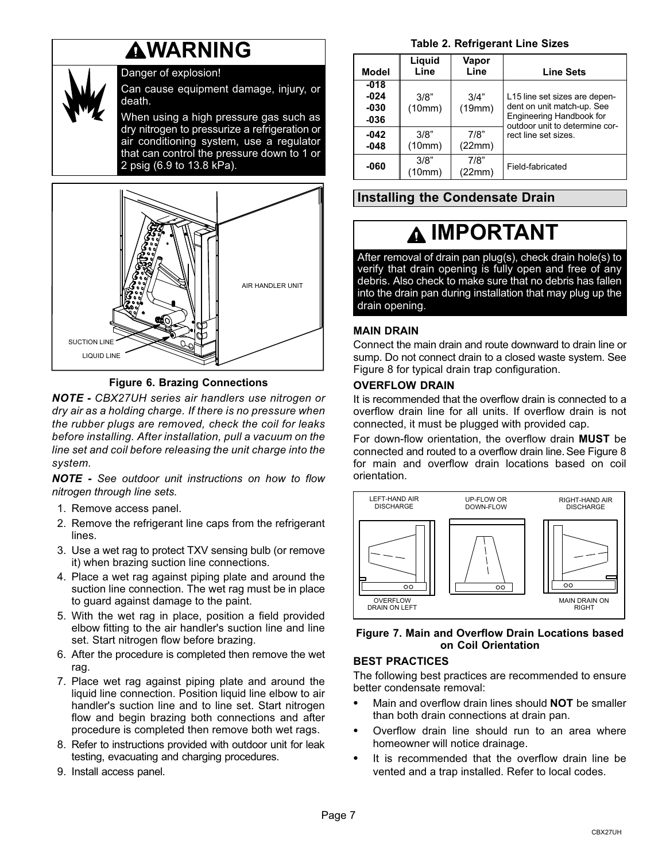## **WARNING**

<span id="page-6-0"></span>

### Danger of explosion!

Can cause equipment damage, injury, or death.

When using a high pressure gas such as dry nitrogen to pressurize a refrigeration or air conditioning system, use a regulator that can control the pressure down to 1 or 2 psig (6.9 to 13.8 kPa).



#### **Figure 6. Brazing Connections**

*NOTE - CBX27UH series air handlers use nitrogen or dry air as a holding charge. If there is no pressure when the rubber plugs are removed, check the coil for leaks before installing. After installation, pull a vacuum on the line set and coil before releasing the unit charge into the system.*

*NOTE - See outdoor unit instructions on how to flow nitrogen through line sets.*

- 1. Remove access panel.
- 2. Remove the refrigerant line caps from the refrigerant lines.
- 3. Use a wet rag to protect TXV sensing bulb (or remove it) when brazing suction line connections.
- 4. Place a wet rag against piping plate and around the suction line connection. The wet rag must be in place to guard against damage to the paint.
- 5. With the wet rag in place, position a field provided elbow fitting to the air handler's suction line and line set. Start nitrogen flow before brazing.
- 6. After the procedure is completed then remove the wet rag.
- 7. Place wet rag against piping plate and around the liquid line connection. Position liquid line elbow to air handler's suction line and to line set. Start nitrogen flow and begin brazing both connections and after procedure is completed then remove both wet rags.
- 8. Refer to instructions provided with outdoor unit for leak testing, evacuating and charging procedures.
- 9. Install access panel.

**Table 2. Refrigerant Line Sizes**

| <b>Model</b>                     | Liquid<br>Line | Vapor<br>Line  | <b>Line Sets</b>                                                                                                          |
|----------------------------------|----------------|----------------|---------------------------------------------------------------------------------------------------------------------------|
| $-018$<br>$-024$<br>-030<br>-036 | 3/8"<br>(10mm) | 3/4"<br>(19mm) | L15 line set sizes are depen-<br>dent on unit match-up. See<br>Engineering Handbook for<br>outdoor unit to determine cor- |
| $-042$<br>$-048$                 | 3/8"<br>(10mm) | 7/8"<br>(22mm) | rect line set sizes.                                                                                                      |
| -060                             | 3/8"<br>(10mm) | 7/8"<br>(22mm) | Field-fabricated                                                                                                          |

## **Installing the Condensate Drain**

## **IMPORTANT**

After removal of drain pan plug(s), check drain hole(s) to verify that drain opening is fully open and free of any debris. Also check to make sure that no debris has fallen into the drain pan during installation that may plug up the drain opening.

#### **MAIN DRAIN**

Connect the main drain and route downward to drain line or sump. Do not connect drain to a closed waste system. See Figure [8](#page-7-0) for typical drain trap configuration.

#### **OVERFLOW DRAIN**

It is recommended that the overflow drain is connected to a overflow drain line for all units. If overflow drain is not connected, it must be plugged with provided cap.

For down-flow orientation, the overflow drain **MUST** be connected and routed to a overflow drain line. See Figure [8](#page-7-0) for main and overflow drain locations based on coil orientation.



#### **Figure 7. Main and Overflow Drain Locations based on Coil Orientation**

#### **BEST PRACTICES**

The following best practices are recommended to ensure better condensate removal:

- $\bullet$  Main and overflow drain lines should **NOT** be smaller than both drain connections at drain pan.
- $\bullet$  Overflow drain line should run to an area where homeowner will notice drainage.
- $\bullet$  It is recommended that the overflow drain line be vented and a trap installed. Refer to local codes.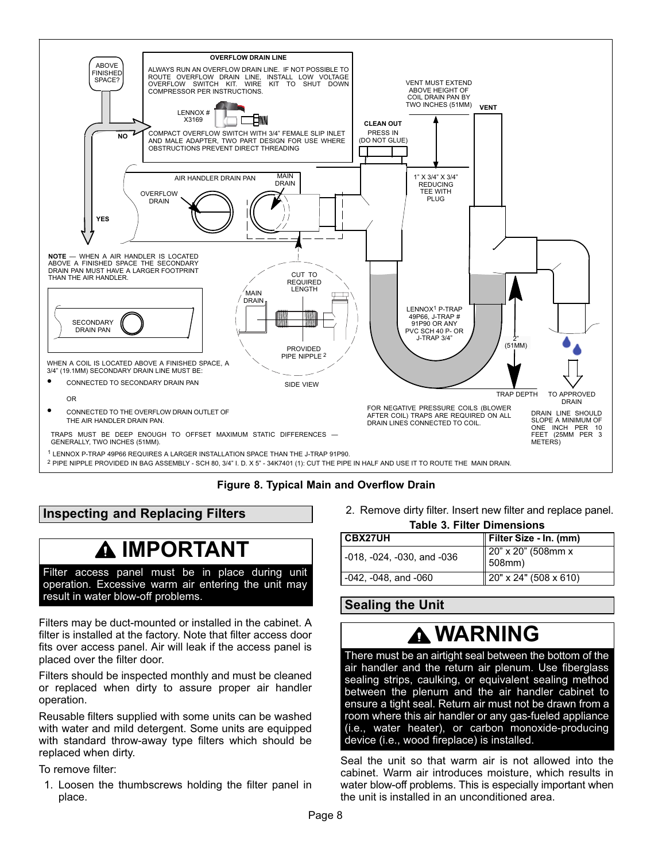<span id="page-7-0"></span>

2 PIPE NIPPLE PROVIDED IN BAG ASSEMBLY - SCH 80, 3/4" I. D. X 5" - 34K7401 (1): CUT THE PIPE IN HALF AND USE IT TO ROUTE THE MAIN DRAIN.

### **Figure 8. Typical Main and Overflow Drain**

## **Inspecting and Replacing Filters**

## **IMPORTANT**

Filter access panel must be in place during unit operation. Excessive warm air entering the unit may result in water blow-off problems.

Filters may be duct-mounted or installed in the cabinet. A filter is installed at the factory. Note that filter access door fits over access panel. Air will leak if the access panel is placed over the filter door.

Filters should be inspected monthly and must be cleaned or replaced when dirty to assure proper air handler operation.

Reusable filters supplied with some units can be washed with water and mild detergent. Some units are equipped with standard throw-away type filters which should be replaced when dirty.

To remove filter:

1. Loosen the thumbscrews holding the filter panel in place.

2. Remove dirty filter. Insert new filter and replace panel.

| <b>Table 3. Filter Dimensions</b> |  |  |  |
|-----------------------------------|--|--|--|
|-----------------------------------|--|--|--|

| Filter Size - In. (mm)                   |
|------------------------------------------|
| $\parallel$ 20" x 20" (508mm x<br>508mm) |
| $\parallel$ 20" x 24" (508 x 610)        |
|                                          |

**Sealing the Unit**

# **WARNING**

There must be an airtight seal between the bottom of the air handler and the return air plenum. Use fiberglass sealing strips, caulking, or equivalent sealing method between the plenum and the air handler cabinet to ensure a tight seal. Return air must not be drawn from a room where this air handler or any gas-fueled appliance (i.e., water heater), or carbon monoxide-producing device (i.e., wood fireplace) is installed.

Seal the unit so that warm air is not allowed into the cabinet. Warm air introduces moisture, which results in water blow-off problems. This is especially important when the unit is installed in an unconditioned area.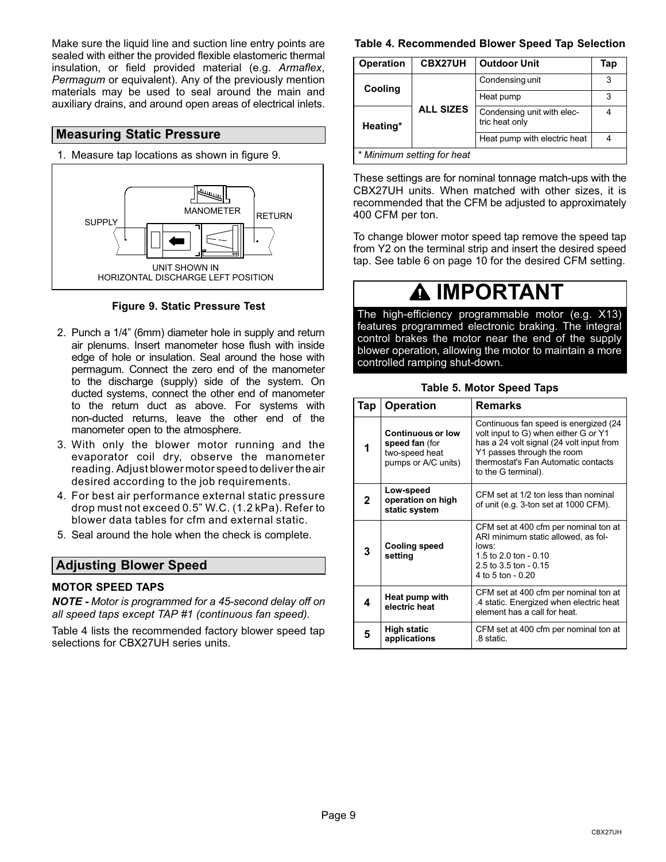<span id="page-8-0"></span>Make sure the liquid line and suction line entry points are sealed with either the provided flexible elastomeric thermal insulation, or field provided material (e.g. *Armaflex*, *Permagum* or equivalent). Any of the previously mention materials may be used to seal around the main and auxiliary drains, and around open areas of electrical inlets.

#### **Measuring Static Pressure**

1. Measure tap locations as shown in figure 9.



**Figure 9. Static Pressure Test**

- 2. Punch a 1/4" (6mm) diameter hole in supply and return air plenums. Insert manometer hose flush with inside edge of hole or insulation. Seal around the hose with permagum. Connect the zero end of the manometer to the discharge (supply) side of the system. On ducted systems, connect the other end of manometer to the return duct as above. For systems with non-ducted returns, leave the other end of the manometer open to the atmosphere.
- 3. With only the blower motor running and the evaporator coil dry, observe the manometer reading. Adjust blower motor speed to deliver the air desired according to the job requirements.
- 4. For best air performance external static pressure drop must not exceed 0.5" W.C. (1.2 kPa). Refer to blower data tables for cfm and external static.
- 5. Seal around the hole when the check is complete.

### **Adjusting Blower Speed**

#### **MOTOR SPEED TAPS**

*NOTE - Motor is programmed for a 45‐second delay off on all speed taps except TAP #1 (continuous fan speed).*

Table 4 lists the recommended factory blower speed tap selections for CBX27UH series units.

#### **Table 4. Recommended Blower Speed Tap Selection**

| <b>Operation</b>           | CBX27UH<br><b>Outdoor Unit</b> |                                              | Tap |  |
|----------------------------|--------------------------------|----------------------------------------------|-----|--|
| Cooling                    |                                | Condensing unit                              |     |  |
|                            |                                | Heat pump                                    | 3   |  |
| Heating*                   | <b>ALL SIZES</b>               | Condensing unit with elec-<br>tric heat only |     |  |
|                            |                                | Heat pump with electric heat                 |     |  |
| * Minimum setting for heat |                                |                                              |     |  |

These settings are for nominal tonnage match-ups with the CBX27UH units. When matched with other sizes, it is recommended that the CFM be adjusted to approximately 400 CFM per ton.

To change blower motor speed tap remove the speed tap from Y2 on the terminal strip and insert the desired speed tap. See table [6](#page-9-0) on page [10](#page-9-0) for the desired CFM setting.

## **IMPORTANT**

The high‐efficiency programmable motor (e.g. X13) features programmed electronic braking. The integral control brakes the motor near the end of the supply blower operation, allowing the motor to maintain a more controlled ramping shut-down.

#### **Table 5. Motor Speed Taps**

| Tap          | <b>Operation</b>                                                                    | Remarks                                                                                                                                                                                                               |
|--------------|-------------------------------------------------------------------------------------|-----------------------------------------------------------------------------------------------------------------------------------------------------------------------------------------------------------------------|
| 1            | <b>Continuous or low</b><br>speed fan (for<br>two-speed heat<br>pumps or A/C units) | Continuous fan speed is energized (24<br>volt input to G) when either G or Y1<br>has a 24 volt signal (24 volt input from<br>Y1 passes through the room<br>thermostat's Fan Automatic contacts<br>to the G terminal). |
| $\mathbf{2}$ | Low-speed<br>operation on high<br>static system                                     | CFM set at 1/2 ton less than nominal<br>of unit (e.g. 3-ton set at 1000 CFM).                                                                                                                                         |
| 3            | <b>Cooling speed</b><br>setting                                                     | CFM set at 400 cfm per nominal ton at<br>ARI minimum static allowed, as fol-<br>lows:<br>1.5 to 2.0 ton - 0.10<br>2.5 to 3.5 ton - $0.15$<br>4 to 5 ton - 0.20                                                        |
| 4            | Heat pump with<br>electric heat                                                     | CFM set at 400 cfm per nominal ton at<br>.4 static. Energized when electric heat<br>element has a call for heat.                                                                                                      |
| 5            | <b>High static</b><br>applications                                                  | CFM set at 400 cfm per nominal ton at<br>.8 static.                                                                                                                                                                   |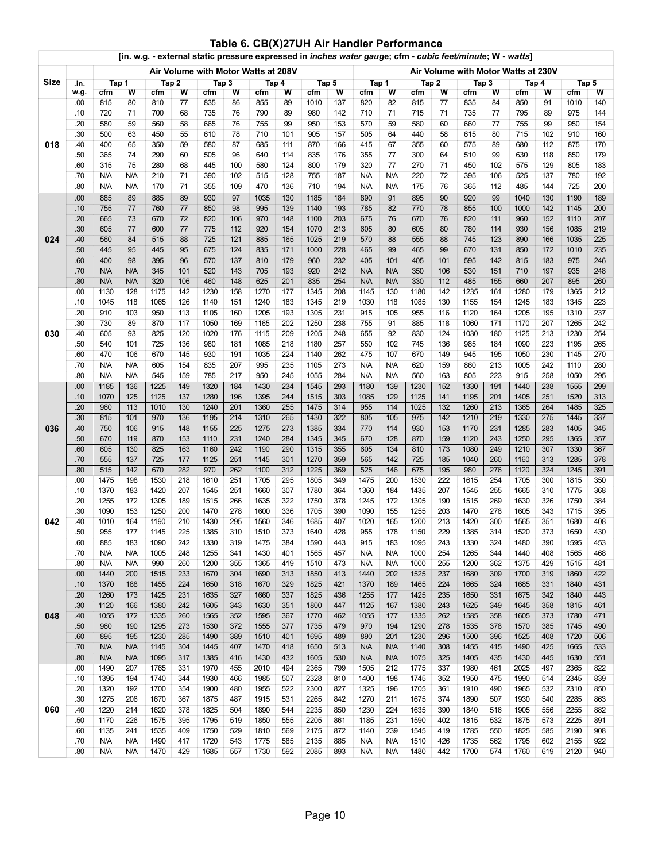<span id="page-9-0"></span>

|      | [in. w.g. - external static pressure expressed in inches water gauge; cfm - cubic feet/minute; W - watts] |                                                                            |                 |              |            |              |            |              |                         |              |            |              |                 |              |                  |              |            |              |            |              |            |
|------|-----------------------------------------------------------------------------------------------------------|----------------------------------------------------------------------------|-----------------|--------------|------------|--------------|------------|--------------|-------------------------|--------------|------------|--------------|-----------------|--------------|------------------|--------------|------------|--------------|------------|--------------|------------|
|      |                                                                                                           | Air Volume with Motor Watts at 230V<br>Air Volume with Motor Watts at 208V |                 |              |            |              |            |              |                         |              |            |              |                 |              |                  |              |            |              |            |              |            |
| Size | .in.                                                                                                      |                                                                            | Tap1            |              | Tap 2      |              | Tap3       |              | Tap 4                   |              | Tap 5      |              | Tap 1           |              | Tap2             |              | Tap 3      |              | Tap 4      | Tap 5        |            |
|      | w.g.                                                                                                      | cfm                                                                        | w               | cfm          | W          | cfm          | w          | cfm          | W                       | cfm          | W          | cfm          | W               | cfm          | W                | cfm          | W          | cfm          | W          | cfm          | W          |
|      | .00                                                                                                       | 815                                                                        | 80              | 810          | 77         | 835          | 86         | 855          | 89                      | 1010         | 137        | 820          | 82              | 815          | 77               | 835          | 84         | 850          | 91         | 1010         | 140        |
|      | .10                                                                                                       | 720                                                                        | 71              | 700          | 68         | 735          | 76         | 790          | 89                      | 980          | 142        | 710          | 71              | 715          | 71               | 735          | 77         | 795          | 89         | 975          | 144        |
|      | .20                                                                                                       | 580                                                                        | 59              | 560          | 58         | 665          | 76         | 755          | 99                      | 950          | 153        | 570          | 59              | 580          | 60               | 660          | 77         | 755          | 99         | 950          | 154        |
|      | .30                                                                                                       | 500                                                                        | 63              | 450          | 55         | 610          | 78         | 710          | 101                     | 905          | 157        | 505          | 64              | 440          | 58               | 615          | 80         | 715          | 102        | 910          | 160        |
| 018  | .40                                                                                                       | 400                                                                        | 65              | 350          | 59         | 580          | 87         | 685          | 111                     | 870          | 166        | 415          | 67              | 355          | 60               | 575          | 89         | 680          | 112        | 875          | 170        |
|      | .50                                                                                                       | 365                                                                        | 74              | 290          | 60         | 505          | 96         | 640          | 114                     | 835          | 176        | 355          | 77              | 300          | 64               | 510          | 99         | 630          | 118        | 850          | 179        |
|      | .60                                                                                                       | 315                                                                        | $\overline{75}$ | 280          | 68         | 445          | 100        | 580          | 124                     | 800          | 179        | 320          | $\overline{77}$ | 270          | 71               | 450          | 102        | 575          | 129        | 805          | 183        |
|      | .70                                                                                                       | N/A                                                                        | N/A             | 210          | 71         | 390          | 102        | 515          | 128                     | 755          | 187        | N/A          | N/A             | 220          | $\overline{72}$  | 395          | 106        | 525          | 137        | 780          | 192        |
|      | .80                                                                                                       | N/A                                                                        | N/A             | 170          | 71         | 355          | 109        | 470          | 136                     | 710          | 194        | N/A          | N/A             | 175          | $\overline{76}$  | 365          | 112        | 485          | 144        | 725          | 200        |
|      | .00                                                                                                       | 885                                                                        | 89              | 885          | 89         | 930          | 97         | 1035         | 130                     | 1185         | 184        | 890          | 91              | 895          | 90               | 920          | 99         | 1040         | 130        | 1190         | 189        |
|      | .10                                                                                                       | 755                                                                        | 77              | 760          | 77         | 850          | 98         | 995          | 139                     | 1140         | 193        | 785          | 82              | 770          | 78               | 855          | 100        | 1000         | 142        | 1145         | 200        |
|      | .20                                                                                                       | 665                                                                        | 73              | 670          | 72         | 820          | 106        | 970          | 148                     | 1100         | 203        | 675          | 76              | 670          | 76               | 820          | 111        | 960          | 152        | 1110         | 207        |
|      | .30                                                                                                       | 605                                                                        | 77              | 600          | 77         | 775          | 112        | 920          | 154                     | 1070         | 213        | 605          | 80              | 605          | 80               | 780          | 114        | 930          | 156        | 1085         | 219        |
| 024  | .40                                                                                                       | 560                                                                        | 84<br>95        | 515<br>445   | 88         | 725          | 121<br>124 | 885          | 165<br>$\overline{171}$ | 1025         | 219<br>228 | 570<br>465   | 88              | 555<br>465   | 88<br>99         | 745          | 123        | 890          | 166        | 1035         | 225        |
|      | .50<br>.60                                                                                                | 445<br>400                                                                 | 98              | 395          | 95<br>96   | 675<br>570   | 137        | 835<br>810   | 179                     | 1000<br>960  | 232        | 405          | 99<br>101       | 405          | 101              | 670<br>595   | 131<br>142 | 850<br>815   | 172<br>183 | 1010<br>975  | 235<br>246 |
|      | .70                                                                                                       | N/A                                                                        | N/A             | 345          | 101        | 520          | 143        | 705          | 193                     | 920          | 242        | N/A          | N/A             | 350          | 106              | 530          | 151        | 710          | 197        | 935          | 248        |
|      | .80                                                                                                       | N/A                                                                        | N/A             | 320          | 106        | 460          | 148        | 625          | 201                     | 835          | 254        | N/A          | N/A             | 330          | 112              | 485          | 155        | 660          | 207        | 895          | 260        |
|      | .00                                                                                                       | 1130                                                                       | 128             | 1175         | 142        | 1230         | 158        | 1270         | 177                     | 1345         | 208        | 1145         | 130             | 1180         | 142              | 1235         | 161        | 1280         | 179        | 1365         | 212        |
|      | .10                                                                                                       | 1045                                                                       | 118             | 1065         | 126        | 1140         | 151        | 1240         | 183                     | 1345         | 219        | 1030         | 118             | 1085         | 130              | 1155         | 154        | 1245         | 183        | 1345         | 223        |
|      | .20                                                                                                       | 910                                                                        | 103             | 950          | 113        | 1105         | 160        | 1205         | 193                     | 1305         | 231        | 915          | 105             | 955          | 116              | 1120         | 164        | 1205         | 195        | 1310         | 237        |
|      | .30                                                                                                       | 730                                                                        | 89              | 870          | 117        | 1050         | 169        | 1165         | 202                     | 1250         | 238        | 755          | 91              | 885          | 118              | 1060         | 171        | 1170         | 207        | 1265         | 242        |
| 030  | .40                                                                                                       | 605                                                                        | 93              | 825          | 120        | 1020         | 176        | 1115         | 209                     | 1205         | 248        | 655          | 92              | 830          | 124              | 1030         | 180        | 1125         | 213        | 1230         | 254        |
|      | .50                                                                                                       | 540                                                                        | 101             | 725          | 136        | 980          | 181        | 1085         | 218                     | 1180         | 257        | 550          | 102             | 745          | 136              | 985          | 184        | 1090         | 223        | 1195         | 265        |
|      | .60                                                                                                       | 470                                                                        | 106             | 670          | 145        | 930          | 191        | 1035         | 224                     | 1140         | 262        | 475          | 107             | 670          | 149              | 945          | 195        | 1050         | 230        | 1145         | 270        |
|      | .70                                                                                                       | N/A                                                                        | N/A             | 605          | 154        | 835          | 207        | 995          | 235                     | 1105         | 273        | N/A          | N/A             | 620          | 159              | 860          | 213        | 1005         | 242        | 1110         | 280        |
|      | .80                                                                                                       | N/A                                                                        | N/A             | 545          | 159        | 785          | 217        | 950          | 245                     | 1055         | 284        | N/A          | N/A             | 560          | 163              | 805          | 223        | 915          | 258        | 1050         | 295        |
|      | .00                                                                                                       | 1185                                                                       | 136             | 1225         | 149        | 1320         | 184        | 1430         | 234                     | 1545         | 293        | 1180         | 139             | 1230         | 152              | 1330         | 191        | 1440         | 238        | 1555         | 299        |
|      | .10                                                                                                       | 1070                                                                       | 125             | 1125         | 137        | 1280         | 196        | 1395         | 244                     | 1515         | 303        | 1085         | 129             | 1125         | 141              | 1195         | 201        | 1405         | 251        | 1520         | 313        |
|      | .20                                                                                                       | 960                                                                        | 113             | 1010         | 130        | 1240         | 201        | 1360         | 255                     | 1475         | 314        | 955          | 114             | 1025         | 132              | 1260         | 213        | 1365         | 264        | 1485         | 325        |
|      | .30                                                                                                       | 815                                                                        | 101             | 970          | 136        | 1195         | 214        | 1310         | 265                     | 1430         | 322        | 805          | 105             | 975          | 142              | 1210         | 219        | 1330         | 275        | 1445         | 337        |
| 036  | .40                                                                                                       | 750                                                                        | 106             | 915          | 148        | 1155         | 225        | 1275         | 273                     | 1385         | 334        | 770          | 114             | 930          | 153              | 1170         | 231        | 1285         | 283        | 1405         | 345        |
|      | .50                                                                                                       | 670                                                                        | 119             | 870          | 153        | 1110         | 231        | 1240         | 284                     | 1345         | 345        | 670          | 128             | 870          | 159              | 1120         | 243        | 1250         | 295        | 1365         | 357        |
|      | .60                                                                                                       | 605                                                                        | 130             | 825          | 163        | 1160         | 242        | 1190         | 290                     | 1315         | 355        | 605          | 134             | 810          | 173              | 1080         | 249        | 1210         | 307        | 1330         | 367        |
|      | .70<br>.80                                                                                                | 555<br>515                                                                 | 137<br>142      | 725<br>670   | 177<br>282 | 1125<br>970  | 251        | 1145         | 301<br>312              | 1270<br>1225 | 359<br>369 | 565<br>525   | 142<br>146      | 725<br>675   | 185              | 1040         | 260<br>276 | 1160         | 313<br>324 | 1285         | 378        |
|      | .00                                                                                                       | 1475                                                                       | 198             | 1530         | 218        | 1610         | 262<br>251 | 1100<br>1705 | 295                     | 1805         | 349        | 1475         | 200             | 1530         | 195<br>222       | 980<br>1615  | 254        | 1120<br>1705 | 300        | 1245<br>1815 | 391<br>350 |
|      | .10                                                                                                       | 1370                                                                       | 183             | 1420         | 207        | 1545         | 251        | 1660         | 307                     | 1780         | 364        | 1360         | 184             | 1435         | 207              | 1545         | 255        | 1665         | 310        | 1775         | 368        |
|      | .20                                                                                                       | 1255                                                                       | 172             | 1305         | 189        | 1515         | 266        | 1635         | 322                     | 1750         | 378        | 1245         | 172             | 1305         | 190              | 1515         | 269        | 1630         | 326        | 1750         | 384        |
|      | .30                                                                                                       | 1090                                                                       | 153             | 1250         | 200        | 1470         | 278        | 1600         | 336                     | 1705         | 390        | 1090         | 155             | 1255         | $\overline{203}$ | 1470         | 278        | 1605         | 343        | 1715         | 395        |
| 042  | .40                                                                                                       | 1010                                                                       | 164             | 1190         | 210        | 1430         | 295        | 1560         | 346                     | 1685         | 407        | 1020         | 165             | 1200         | 213              | 1420         | 300        | 1565         | 351        | 1680         | 408        |
|      | .50                                                                                                       | 955                                                                        | 177             | 1145         | 225        | 1385         | 310        | 1510         | 373                     | 1640         | 428        | 955          | 178             | 1150         | 229              | 1385         | 314        | 1520         | 373        | 1650         | 430        |
|      | .60                                                                                                       | 885                                                                        | 183             | 1090         | 242        | 1330         | 319        | 1475         | 384                     | 1590         | 443        | 915          | 183             | 1095         | 243              | 1330         | 324        | 1480         | 390        | 1595         | 453        |
|      | .70                                                                                                       | N/A                                                                        | N/A             | 1005         | 248        | 1255         | 341        | 1430         | 401                     | 1565         | 457        | N/A          | N/A             | 1000         | 254              | 1265         | 344        | 1440         | 408        | 1565         | 468        |
|      | .80                                                                                                       | N/A                                                                        | N/A             | 990          | 260        | 1200         | 355        | 1365         | 419                     | 1510         | 473        | N/A          | N/A             | 1000         | 255              | 1200         | 362        | 1375         | 429        | 1515         | 481        |
|      | .00                                                                                                       | 1440                                                                       | 200             | 1515         | 233        | 1670         | 304        | 1690         | 313                     | 1850         | 413        | 1440         | 202             | 1525         | 237              | 1680         | 309        | 1700         | 319        | 1860         | 422        |
|      | .10                                                                                                       | 1370                                                                       | 188             | 1455         | 224        | 1650         | 318        | 1670         | 329                     | 1825         | 421        | 1370         | 189             | 1465         | 224              | 1665         | 324        | 1685         | 331        | 1840         | 431        |
|      | .20                                                                                                       | 1260                                                                       | 173             | 1425         | 231        | 1635         | 327        | 1660         | 337                     | 1825         | 436        | 1255         | 177             | 1425         | 235              | 1650         | 331        | 1675         | 342        | 1840         | 443        |
|      | .30                                                                                                       | 1120                                                                       | 166             | 1380         | 242        | 1605         | 343        | 1630         | 351                     | 1800         | 447        | 1125         | 167             | 1380         | 243              | 1625         | 349        | 1645         | 358        | 1815         | 461        |
| 048  | .40                                                                                                       | 1055                                                                       | 172             | 1335         | 260        | 1565         | 352        | 1595         | 367                     | 1770         | 462        | 1055         | 177             | 1335         | 262              | 1585         | 358        | 1605         | 373        | 1780         | 471        |
|      | .50                                                                                                       | 960                                                                        | 190             | 1295         | 273        | 1530         | 372        | 1555         | 377                     | 1735         | 479        | 970          | 194             | 1290         | 278              | 1535         | 378        | 1570         | 385        | 1745         | 490        |
|      | .60                                                                                                       | 895                                                                        | 195             | 1230         | 285        | 1490         | 389        | 1510         | 401                     | 1695         | 489        | 890          | 201             | 1230         | 296              | 1500         | 396        | 1525         | 408        | 1720         | 506        |
|      | .70                                                                                                       | N/A                                                                        | N/A             | 1145         | 304        | 1445         | 407        | 1470         | 418                     | 1650         | 513        | N/A          | N/A             | 1140         | 308              | 1455         | 415        | 1490         | 425        | 1665         | 533        |
|      | .80                                                                                                       | N/A                                                                        | N/A             | 1095         | 317        | 1385         | 416        | 1430         | 432                     | 1605         | 530        | N/A          | N/A             | 1075         | 325              | 1405         | 435        | 1430         | 445        | 1630         | 551        |
|      | .00<br>.10                                                                                                | 1490<br>1395                                                               | 207<br>194      | 1765<br>1740 | 331<br>344 | 1970<br>1930 | 455<br>466 | 2010<br>1985 | 494<br>507              | 2365<br>2328 | 799<br>810 | 1505<br>1400 | 212<br>198      | 1775<br>1745 | 337<br>352       | 1980<br>1950 | 461<br>475 | 2025<br>1990 | 497<br>514 | 2365<br>2345 | 822<br>839 |
|      | .20                                                                                                       | 1320                                                                       | 192             | 1700         | 354        | 1900         | 480        | 1955         | 522                     | 2300         | 827        | 1325         | 196             | 1705         | 361              | 1910         | 490        | 1965         | 532        | 2310         | 850        |
|      | .30                                                                                                       | 1275                                                                       | 206             | 1670         | 367        | 1875         | 487        | 1915         | 531                     | 2265         | 842        | 1270         | 211             | 1675         | 374              | 1890         | 507        | 1930         | 540        | 2285         | 863        |
| 060  | .40                                                                                                       | 1220                                                                       | 214             | 1620         | 378        | 1825         | 504        | 1890         | 544                     | 2235         | 850        | 1230         | 224             | 1635         | 390              | 1840         | 516        | 1905         | 556        | 2255         | 882        |
|      | .50                                                                                                       | 1170                                                                       | 226             | 1575         | 395        | 1795         | 519        | 1850         | 555                     | 2205         | 861        | 1185         | 231             | 1590         | 402              | 1815         | 532        | 1875         | 573        | 2225         | 891        |
|      | .60                                                                                                       | 1135                                                                       | 241             | 1535         | 409        | 1750         | 529        | 1810         | 569                     | 2175         | 872        | 1140         | 239             | 1545         | 419              | 1785         | 550        | 1825         | 585        | 2190         | 908        |
|      | .70                                                                                                       | N/A                                                                        | N/A             | 1490         | 417        | 1720         | 543        | 1775         | 585                     | 2135         | 885        | N/A          | N/A             | 1510         | 426              | 1735         | 562        | 1795         | 602        | 2155         | 922        |
|      | .80                                                                                                       | N/A                                                                        | N/A             | 1470         | 429        | 1685         | 557        | 1730         | 592                     | 2085         | 893        | N/A          | N/A             | 1480         | 442              | 1700         | 574        | 1760         | 619        | 2120         | 940        |

### **Table 6. CB(X)27UH Air Handler Performance**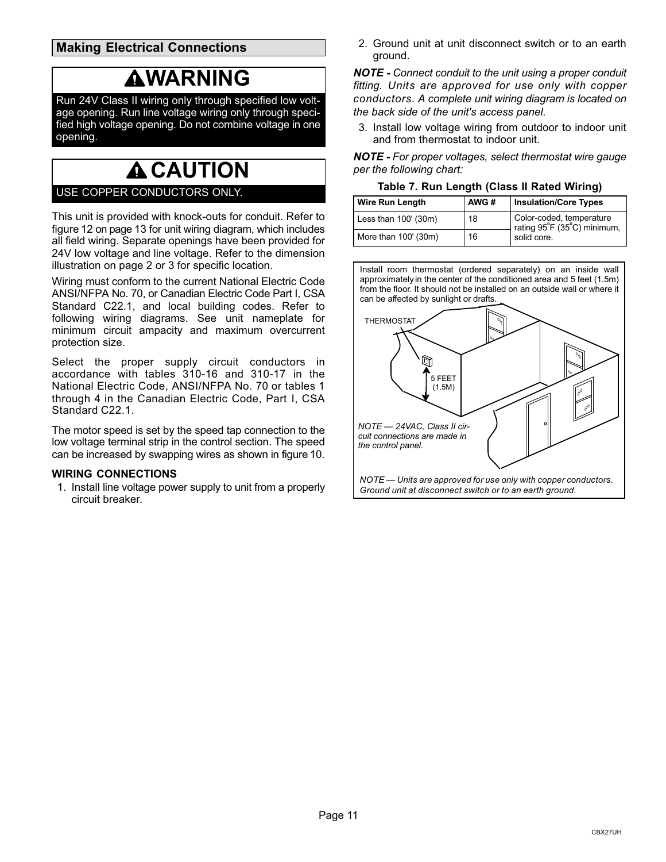## <span id="page-10-0"></span>**Making Electrical Connections**

## **WARNING**

Run 24V Class II wiring only through specified low voltage opening. Run line voltage wiring only through specified high voltage opening. Do not combine voltage in one opening.

# **A CAUTION**

### USE COPPER CONDUCTORS ONLY.

This unit is provided with knock‐outs for conduit. Refer to figure [12](#page-12-0) on page [13](#page-12-0) for unit wiring diagram, which includes all field wiring. Separate openings have been provided for 24V low voltage and line voltage. Refer to the dimension illustration on page 2 or 3 for specific location.

Wiring must conform to the current National Electric Code ANSI/NFPA No. 70, or Canadian Electric Code Part I, CSA Standard C22.1, and local building codes. Refer to following wiring diagrams. See unit nameplate for minimum circuit ampacity and maximum overcurrent protection size.

Select the proper supply circuit conductors in accordance with tables 310-16 and 310-17 in the National Electric Code, ANSI/NFPA No. 70 or tables 1 through 4 in the Canadian Electric Code, Part I, CSA Standard C22.1.

The motor speed is set by the speed tap connection to the low voltage terminal strip in the control section. The speed can be increased by swapping wires as shown in figure [10.](#page-11-0)

#### **WIRING CONNECTIONS**

1. Install line voltage power supply to unit from a properly circuit breaker.

2. Ground unit at unit disconnect switch or to an earth ground.

*NOTE - Connect conduit to the unit using a proper conduit fitting. Units are approved for use only with copper conductors. A complete unit wiring diagram is located on the back side of the unit's access panel.*

3. Install low voltage wiring from outdoor to indoor unit and from thermostat to indoor unit.

*NOTE - For proper voltages, select thermostat wire gauge per the following chart:*

**Table 7. Run Length (Class II Rated Wiring)**

| <b>Wire Run Length</b> | AWG# | <b>Insulation/Core Types</b>                            |
|------------------------|------|---------------------------------------------------------|
| Less than $100'$ (30m) | 18   | Color-coded, temperature<br>rating 95°F (35°C) minimum, |
| More than 100' (30m)   | 16   | solid core.                                             |

Install room thermostat (ordered separately) on an inside wall approximately in the center of the conditioned area and 5 feet (1.5m) from the floor. It should not be installed on an outside wall or where it can be affected by sunlight or drafts.

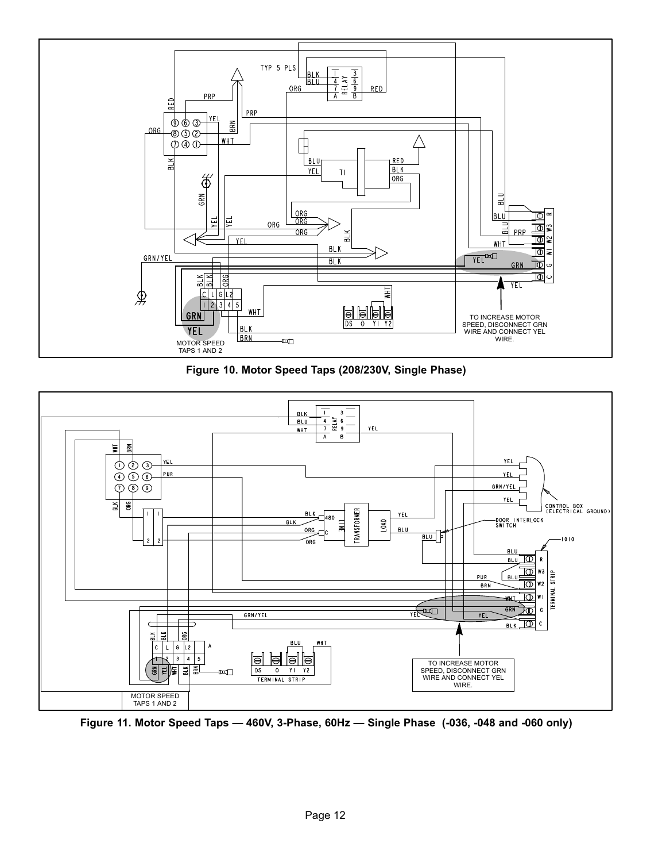<span id="page-11-0"></span>

**Figure 10. Motor Speed Taps (208/230V, Single Phase)**



**Figure 11. Motor Speed Taps — 460V, 3-Phase, 60Hz — Single Phase (-036, -048 and -060 only)**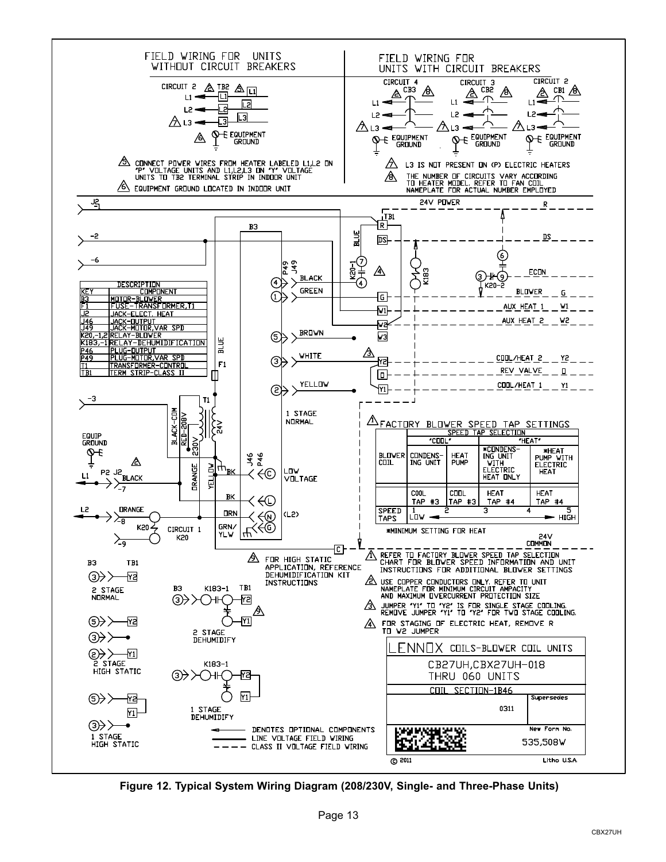<span id="page-12-0"></span>

**Figure 12. Typical System Wiring Diagram (208/230V, Single- and Three-Phase Units)**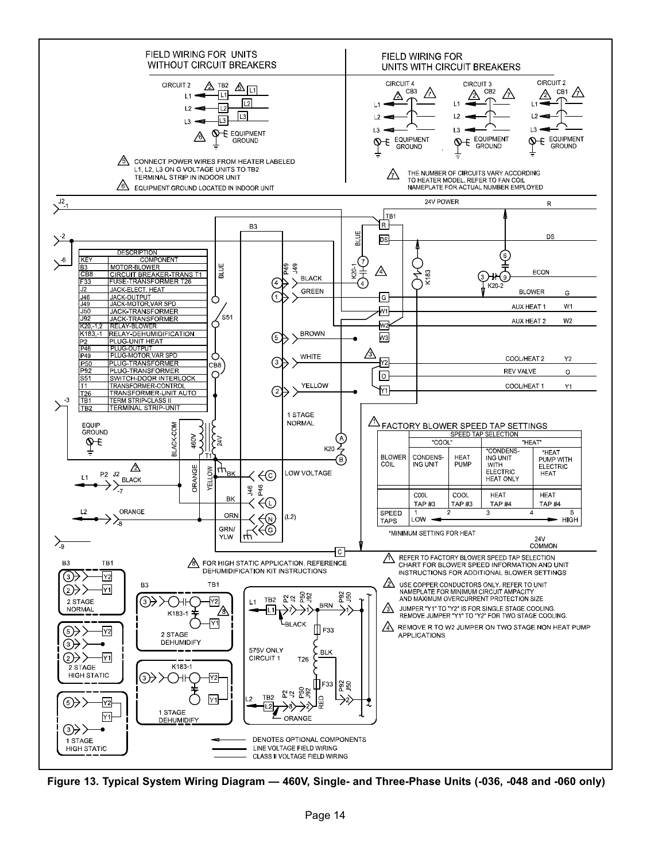

**Figure 13. Typical System Wiring Diagram — 460V, Single- and Three-Phase Units (-036, -048 and -060 only)**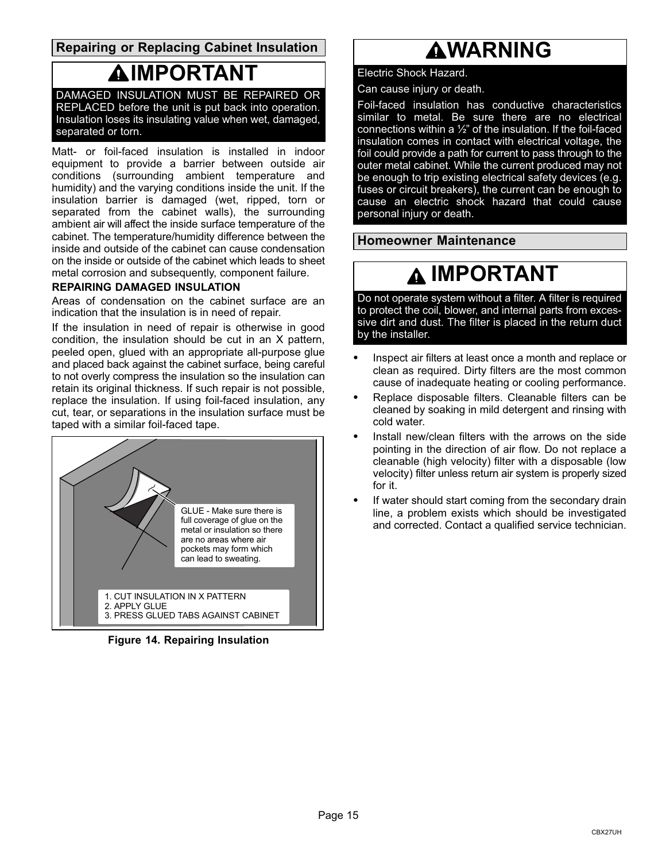### <span id="page-14-0"></span>**Repairing or Replacing Cabinet Insulation**

## **IMPORTANT**

DAMAGED INSULATION MUST BE REPAIRED OR REPLACED before the unit is put back into operation. Insulation loses its insulating value when wet, damaged, separated or torn.

Matt- or foil-faced insulation is installed in indoor equipment to provide a barrier between outside air conditions (surrounding ambient temperature and humidity) and the varying conditions inside the unit. If the insulation barrier is damaged (wet, ripped, torn or separated from the cabinet walls), the surrounding ambient air will affect the inside surface temperature of the cabinet. The temperature/humidity difference between the inside and outside of the cabinet can cause condensation on the inside or outside of the cabinet which leads to sheet metal corrosion and subsequently, component failure.

#### **REPAIRING DAMAGED INSULATION**

Areas of condensation on the cabinet surface are an indication that the insulation is in need of repair.

If the insulation in need of repair is otherwise in good condition, the insulation should be cut in an X pattern, peeled open, glued with an appropriate all-purpose glue and placed back against the cabinet surface, being careful to not overly compress the insulation so the insulation can retain its original thickness. If such repair is not possible, replace the insulation. If using foil‐faced insulation, any cut, tear, or separations in the insulation surface must be taped with a similar foil-faced tape.



**Figure 14. Repairing Insulation**

## **WARNING**

#### Electric Shock Hazard.

Can cause injury or death.

Foil-faced insulation has conductive characteristics similar to metal. Be sure there are no electrical connections within a  $\frac{1}{2}$ " of the insulation. If the foil-faced insulation comes in contact with electrical voltage, the foil could provide a path for current to pass through to the outer metal cabinet. While the current produced may not be enough to trip existing electrical safety devices (e.g. fuses or circuit breakers), the current can be enough to cause an electric shock hazard that could cause personal injury or death.

**Homeowner Maintenance**

## **IMPORTANT**

Do not operate system without a filter. A filter is required to protect the coil, blower, and internal parts from excessive dirt and dust. The filter is placed in the return duct by the installer.

- $\bullet$  Inspect air filters at least once a month and replace or clean as required. Dirty filters are the most common cause of inadequate heating or cooling performance.
- $\bullet$  Replace disposable filters. Cleanable filters can be cleaned by soaking in mild detergent and rinsing with cold water.
- $\bullet$  Install new/clean filters with the arrows on the side pointing in the direction of air flow. Do not replace a cleanable (high velocity) filter with a disposable (low velocity) filter unless return air system is properly sized for it.
- $\bullet$  If water should start coming from the secondary drain line, a problem exists which should be investigated and corrected. Contact a qualified service technician.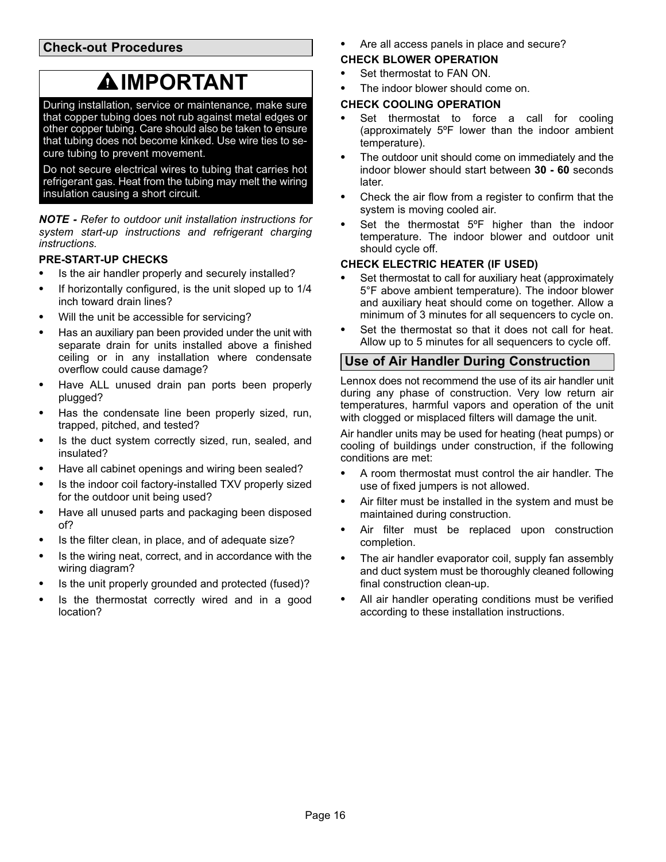### <span id="page-15-0"></span>**Check-out Procedures**

## **IMPORTANT**

During installation, service or maintenance, make sure that copper tubing does not rub against metal edges or other copper tubing. Care should also be taken to ensure that tubing does not become kinked. Use wire ties to secure tubing to prevent movement.

Do not secure electrical wires to tubing that carries hot refrigerant gas. Heat from the tubing may melt the wiring insulation causing a short circuit.

*NOTE - Refer to outdoor unit installation instructions for system start-up instructions and refrigerant charging instructions.*

#### **PRE‐START‐UP CHECKS**

- $\bullet$ Is the air handler properly and securely installed?
- $\bullet$  If horizontally configured, is the unit sloped up to 1/4 inch toward drain lines?
- $\bullet$ Will the unit be accessible for servicing?
- $\bullet$  Has an auxiliary pan been provided under the unit with separate drain for units installed above a finished ceiling or in any installation where condensate overflow could cause damage?
- $\bullet$  Have ALL unused drain pan ports been properly plugged?
- $\bullet$  Has the condensate line been properly sized, run, trapped, pitched, and tested?
- $\bullet$  Is the duct system correctly sized, run, sealed, and insulated?
- $\bullet$ Have all cabinet openings and wiring been sealed?
- $\bullet$  Is the indoor coil factory‐installed TXV properly sized for the outdoor unit being used?
- $\bullet$  Have all unused parts and packaging been disposed of?
- $\bullet$ Is the filter clean, in place, and of adequate size?
- $\bullet$  Is the wiring neat, correct, and in accordance with the wiring diagram?
- $\bullet$ Is the unit properly grounded and protected (fused)?
- $\bullet$  Is the thermostat correctly wired and in a good location?

 $\bullet$ Are all access panels in place and secure?

## **CHECK BLOWER OPERATION**

- $\bullet$ Set thermostat to FAN ON.
- $\bullet$ The indoor blower should come on.

### **CHECK COOLING OPERATION**

- $\bullet$  Set thermostat to force a call for cooling (approximately 5ºF lower than the indoor ambient temperature).
- $\bullet$  The outdoor unit should come on immediately and the indoor blower should start between **30 - 60** seconds later.
- $\bullet$  Check the air flow from a register to confirm that the system is moving cooled air.
- $\bullet$  Set the thermostat 5ºF higher than the indoor temperature. The indoor blower and outdoor unit should cycle off.

### **CHECK ELECTRIC HEATER (IF USED)**

- $\bullet$  Set thermostat to call for auxiliary heat (approximately 5°F above ambient temperature). The indoor blower and auxiliary heat should come on together. Allow a minimum of 3 minutes for all sequencers to cycle on.
- $\bullet$  Set the thermostat so that it does not call for heat. Allow up to 5 minutes for all sequencers to cycle off.

## **Use of Air Handler During Construction**

Lennox does not recommend the use of its air handler unit during any phase of construction. Very low return air temperatures, harmful vapors and operation of the unit with clogged or misplaced filters will damage the unit.

Air handler units may be used for heating (heat pumps) or cooling of buildings under construction, if the following conditions are met:

- $\bullet$  A room thermostat must control the air handler. The use of fixed jumpers is not allowed.
- $\bullet$  Air filter must be installed in the system and must be maintained during construction.
- $\bullet$  Air filter must be replaced upon construction completion.
- $\bullet$  The air handler evaporator coil, supply fan assembly and duct system must be thoroughly cleaned following final construction clean-up.
- $\bullet$  All air handler operating conditions must be verified according to these installation instructions.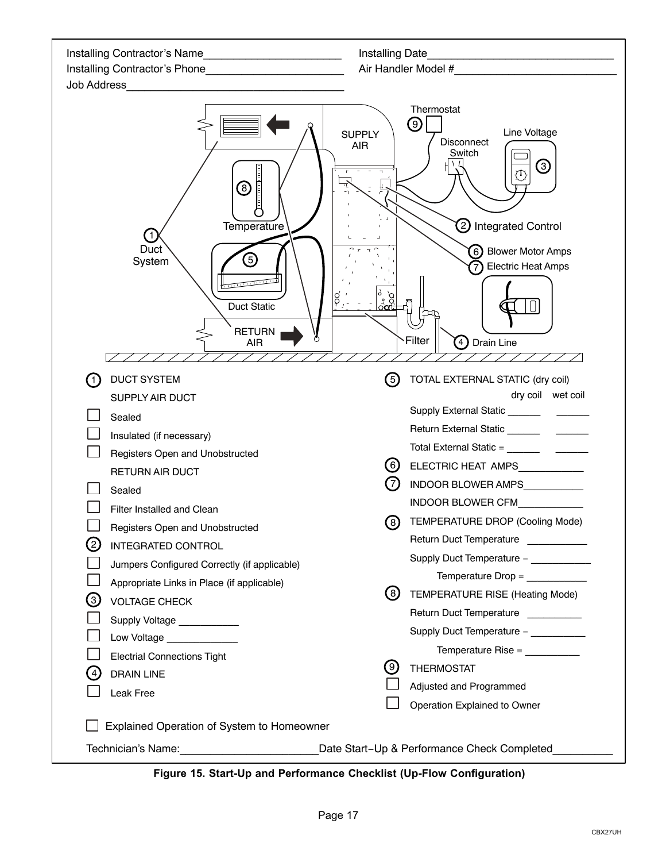| Installing Contractor's Name                                                                                                                                                                                                                                                                                                                                                                                                                                                                                                                                                  | Installing Date                                                                                                                                                                                                                                                                                                                                                                                                                                                                                             |
|-------------------------------------------------------------------------------------------------------------------------------------------------------------------------------------------------------------------------------------------------------------------------------------------------------------------------------------------------------------------------------------------------------------------------------------------------------------------------------------------------------------------------------------------------------------------------------|-------------------------------------------------------------------------------------------------------------------------------------------------------------------------------------------------------------------------------------------------------------------------------------------------------------------------------------------------------------------------------------------------------------------------------------------------------------------------------------------------------------|
|                                                                                                                                                                                                                                                                                                                                                                                                                                                                                                                                                                               |                                                                                                                                                                                                                                                                                                                                                                                                                                                                                                             |
| Job Address<br><u> 1980 - Johann Barbara, martin da kasar A</u>                                                                                                                                                                                                                                                                                                                                                                                                                                                                                                               |                                                                                                                                                                                                                                                                                                                                                                                                                                                                                                             |
| (8)<br>Temperature<br>1<br>Duct<br>$\left(5\right)$<br>System<br><b>Duct Static</b><br><b>RETURN</b><br>AIR                                                                                                                                                                                                                                                                                                                                                                                                                                                                   | Thermostat<br>$\left( 9\right)$<br>Line Voltage<br><b>SUPPLY</b><br>Disconnect<br><b>AIR</b><br>Switch<br>③<br>O<br>2) Integrated Control<br>6) Blower Motor Amps<br><b>Electric Heat Amps</b><br><u>ိ ၃၂</u><br>၁၀၁<br>म्<br>म<br>Filter<br>(4) Drain Line                                                                                                                                                                                                                                                 |
| <b>DUCT SYSTEM</b><br>$\left( 1\right)$<br>SUPPLY AIR DUCT<br>Sealed<br>Insulated (if necessary)<br>Registers Open and Unobstructed<br><b>RETURN AIR DUCT</b><br>Sealed<br>Filter Installed and Clean<br>Registers Open and Unobstructed<br>$\left( 2\right)$<br><b>INTEGRATED CONTROL</b><br>Jumpers Configured Correctly (if applicable)<br>Appropriate Links in Place (if applicable)<br>3<br><b>VOLTAGE CHECK</b><br>Supply Voltage ___________<br>Low Voltage _____________<br><b>Electrial Connections Tight</b><br>$\left( 4\right)$<br><b>DRAIN LINE</b><br>Leak Free | (5)<br>TOTAL EXTERNAL STATIC (dry coil)<br>dry coil wet coil<br>(6)<br>ELECTRIC HEAT AMPS___________<br>(7)<br>INDOOR BLOWER AMPS<br>INDOOR BLOWER CFM<br>(8)<br>TEMPERATURE DROP (Cooling Mode)<br>Return Duct Temperature<br>Supply Duct Temperature -<br>Temperature Drop = ____________<br>(8)<br>TEMPERATURE RISE (Heating Mode)<br>Return Duct Temperature __________<br>Supply Duct Temperature - __________<br>Temperature Rise = __________<br>(9)<br><b>THERMOSTAT</b><br>Adjusted and Programmed |
| Explained Operation of System to Homeowner                                                                                                                                                                                                                                                                                                                                                                                                                                                                                                                                    | Operation Explained to Owner                                                                                                                                                                                                                                                                                                                                                                                                                                                                                |
| Technician's Name: Name: Name and National Communication of the United States and National Communication of the U                                                                                                                                                                                                                                                                                                                                                                                                                                                             | Date Start-Up & Performance Check Completed                                                                                                                                                                                                                                                                                                                                                                                                                                                                 |

**Figure 15. Start-Up and Performance Checklist (Up-Flow Configuration)**